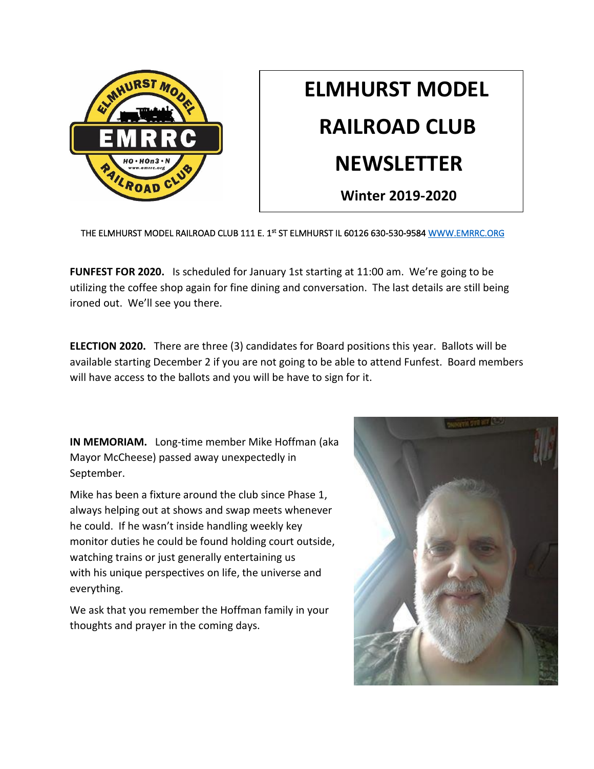

## **ELMHURST MODEL RAILROAD CLUB NEWSLETTER**

 **Winter 2019-2020**

THE ELMHURST MODEL RAILROAD CLUB 111 E. 1st ST ELMHURST IL 60126 630-530-9584 WWW.EMRRC.ORG

**FUNFEST FOR 2020.** Is scheduled for January 1st starting at 11:00 am. We're going to be utilizing the coffee shop again for fine dining and conversation. The last details are still being ironed out. We'll see you there.

**ELECTION 2020.** There are three (3) candidates for Board positions this year. Ballots will be available starting December 2 if you are not going to be able to attend Funfest. Board members will have access to the ballots and you will be have to sign for it.

**IN MEMORIAM.** Long-time member Mike Hoffman (aka Mayor McCheese) passed away unexpectedly in September.

Mike has been a fixture around the club since Phase 1, always helping out at shows and swap meets whenever he could. If he wasn't inside handling weekly key monitor duties he could be found holding court outside, watching trains or just generally entertaining us with his unique perspectives on life, the universe and everything.

We ask that you remember the Hoffman family in your thoughts and prayer in the coming days.

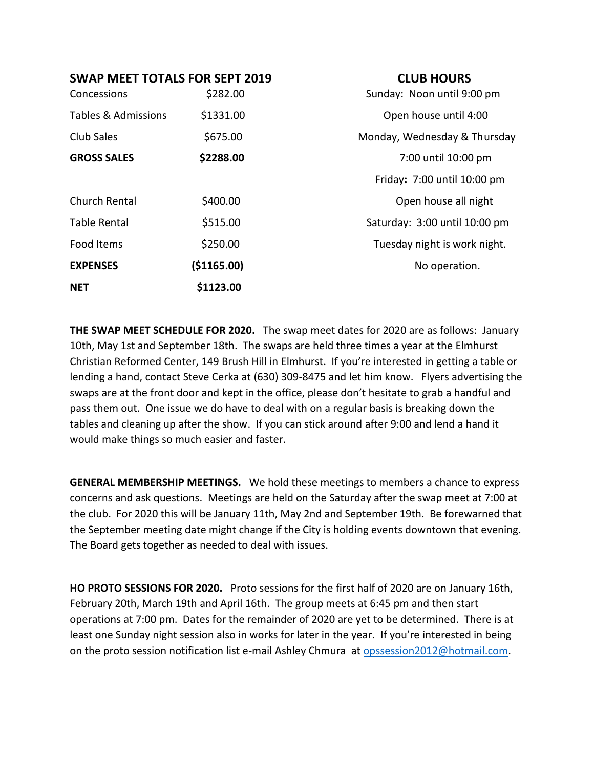| SWAP MEET TOTALS FOR SEPT 2019 |  |  |
|--------------------------------|--|--|
|--------------------------------|--|--|

**CLUB HOURS** 

| Concessions                    | \$282.00     | Sunday: Noon until 9:00 pm    |
|--------------------------------|--------------|-------------------------------|
| <b>Tables &amp; Admissions</b> | \$1331.00    | Open house until 4:00         |
| Club Sales                     | \$675.00     | Monday, Wednesday & Thursday  |
| <b>GROSS SALES</b>             | \$2288.00    | 7:00 until 10:00 pm           |
|                                |              | Friday: 7:00 until 10:00 pm   |
| Church Rental                  | \$400.00     | Open house all night          |
| <b>Table Rental</b>            | \$515.00     | Saturday: 3:00 until 10:00 pm |
| Food Items                     | \$250.00     | Tuesday night is work night.  |
| <b>EXPENSES</b>                | ( \$1165.00) | No operation.                 |
| <b>NET</b>                     | \$1123.00    |                               |

**THE SWAP MEET SCHEDULE FOR 2020.** The swap meet dates for 2020 are as follows: January 10th, May 1st and September 18th. The swaps are held three times a year at the Elmhurst Christian Reformed Center, 149 Brush Hill in Elmhurst. If you're interested in getting a table or lending a hand, contact Steve Cerka at (630) 309-8475 and let him know. Flyers advertising the swaps are at the front door and kept in the office, please don't hesitate to grab a handful and pass them out. One issue we do have to deal with on a regular basis is breaking down the tables and cleaning up after the show. If you can stick around after 9:00 and lend a hand it would make things so much easier and faster.

**GENERAL MEMBERSHIP MEETINGS.** We hold these meetings to members a chance to express concerns and ask questions. Meetings are held on the Saturday after the swap meet at 7:00 at the club. For 2020 this will be January 11th, May 2nd and September 19th. Be forewarned that the September meeting date might change if the City is holding events downtown that evening. The Board gets together as needed to deal with issues.

**HO PROTO SESSIONS FOR 2020.** Proto sessions for the first half of 2020 are on January 16th, February 20th, March 19th and April 16th. The group meets at 6:45 pm and then start operations at 7:00 pm. Dates for the remainder of 2020 are yet to be determined. There is at least one Sunday night session also in works for later in the year. If you're interested in being on the proto session notification list e-mail Ashley Chmura at [opssession2012@hotmail.com.](mailto:opssession2012@hotmail.com)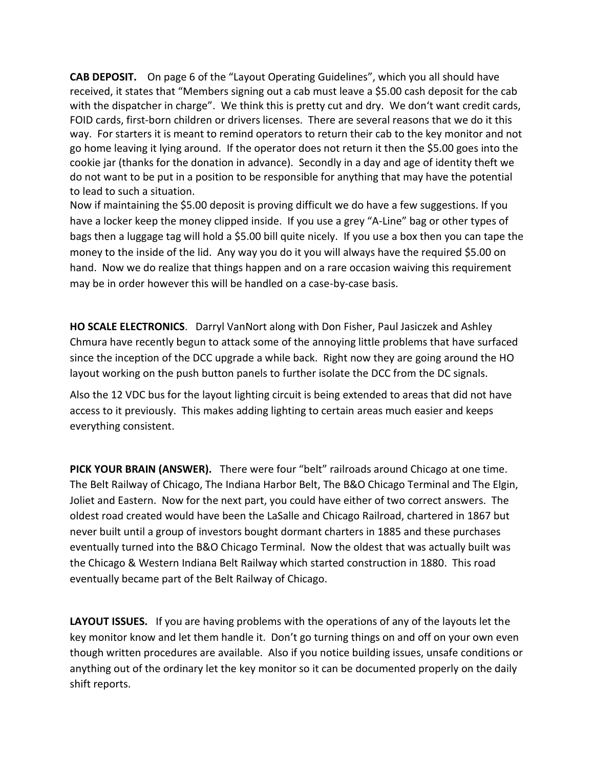**CAB DEPOSIT.** On page 6 of the "Layout Operating Guidelines", which you all should have received, it states that "Members signing out a cab must leave a \$5.00 cash deposit for the cab with the dispatcher in charge". We think this is pretty cut and dry. We don't want credit cards, FOID cards, first-born children or drivers licenses. There are several reasons that we do it this way. For starters it is meant to remind operators to return their cab to the key monitor and not go home leaving it lying around. If the operator does not return it then the \$5.00 goes into the cookie jar (thanks for the donation in advance). Secondly in a day and age of identity theft we do not want to be put in a position to be responsible for anything that may have the potential to lead to such a situation.

Now if maintaining the \$5.00 deposit is proving difficult we do have a few suggestions. If you have a locker keep the money clipped inside. If you use a grey "A-Line" bag or other types of bags then a luggage tag will hold a \$5.00 bill quite nicely. If you use a box then you can tape the money to the inside of the lid. Any way you do it you will always have the required \$5.00 on hand. Now we do realize that things happen and on a rare occasion waiving this requirement may be in order however this will be handled on a case-by-case basis.

**HO SCALE ELECTRONICS**. Darryl VanNort along with Don Fisher, Paul Jasiczek and Ashley Chmura have recently begun to attack some of the annoying little problems that have surfaced since the inception of the DCC upgrade a while back. Right now they are going around the HO layout working on the push button panels to further isolate the DCC from the DC signals.

Also the 12 VDC bus for the layout lighting circuit is being extended to areas that did not have access to it previously. This makes adding lighting to certain areas much easier and keeps everything consistent.

**PICK YOUR BRAIN (ANSWER).** There were four "belt" railroads around Chicago at one time. The Belt Railway of Chicago, The Indiana Harbor Belt, The B&O Chicago Terminal and The Elgin, Joliet and Eastern. Now for the next part, you could have either of two correct answers. The oldest road created would have been the LaSalle and Chicago Railroad, chartered in 1867 but never built until a group of investors bought dormant charters in 1885 and these purchases eventually turned into the B&O Chicago Terminal. Now the oldest that was actually built was the Chicago & Western Indiana Belt Railway which started construction in 1880. This road eventually became part of the Belt Railway of Chicago.

**LAYOUT ISSUES.** If you are having problems with the operations of any of the layouts let the key monitor know and let them handle it. Don't go turning things on and off on your own even though written procedures are available. Also if you notice building issues, unsafe conditions or anything out of the ordinary let the key monitor so it can be documented properly on the daily shift reports.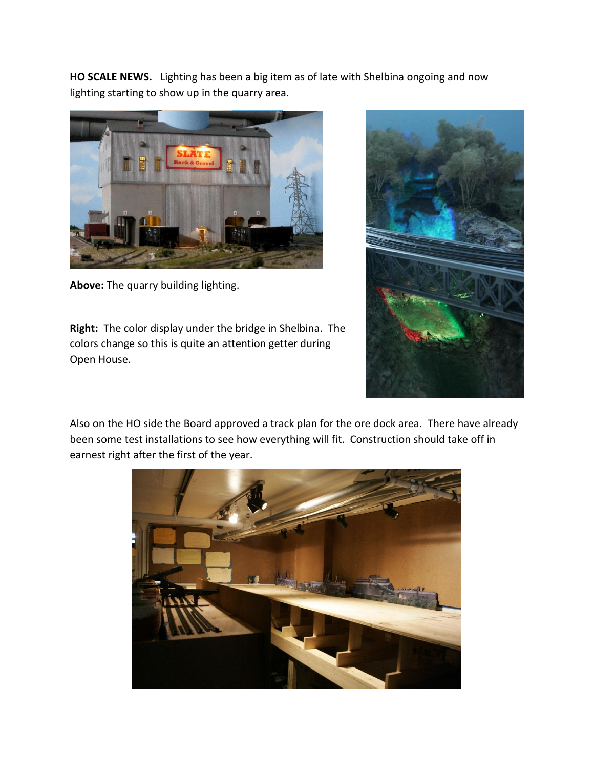**HO SCALE NEWS.** Lighting has been a big item as of late with Shelbina ongoing and now lighting starting to show up in the quarry area.



**Above:** The quarry building lighting.

**Right:** The color display under the bridge in Shelbina. The colors change so this is quite an attention getter during Open House.



Also on the HO side the Board approved a track plan for the ore dock area. There have already been some test installations to see how everything will fit. Construction should take off in earnest right after the first of the year.

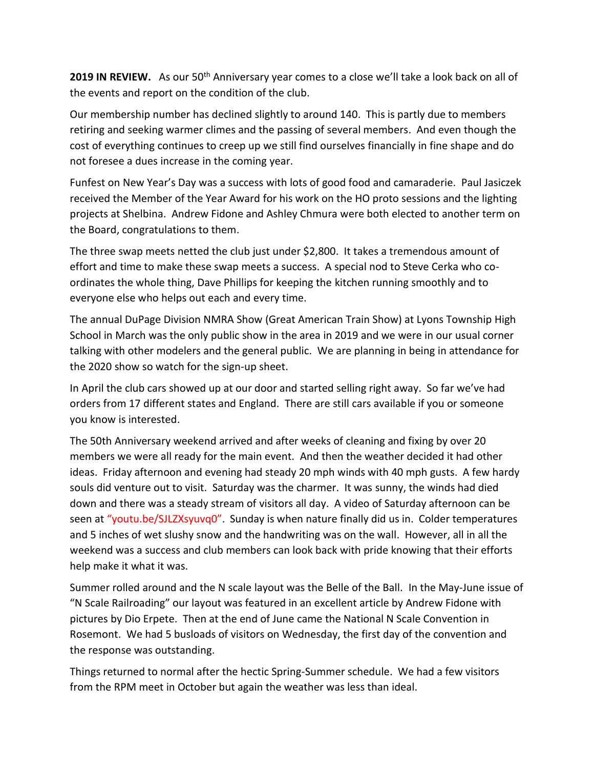**2019 IN REVIEW.** As our 50th Anniversary year comes to a close we'll take a look back on all of the events and report on the condition of the club.

Our membership number has declined slightly to around 140. This is partly due to members retiring and seeking warmer climes and the passing of several members. And even though the cost of everything continues to creep up we still find ourselves financially in fine shape and do not foresee a dues increase in the coming year.

Funfest on New Year's Day was a success with lots of good food and camaraderie. Paul Jasiczek received the Member of the Year Award for his work on the HO proto sessions and the lighting projects at Shelbina. Andrew Fidone and Ashley Chmura were both elected to another term on the Board, congratulations to them.

The three swap meets netted the club just under \$2,800. It takes a tremendous amount of effort and time to make these swap meets a success. A special nod to Steve Cerka who coordinates the whole thing, Dave Phillips for keeping the kitchen running smoothly and to everyone else who helps out each and every time.

The annual DuPage Division NMRA Show (Great American Train Show) at Lyons Township High School in March was the only public show in the area in 2019 and we were in our usual corner talking with other modelers and the general public. We are planning in being in attendance for the 2020 show so watch for the sign-up sheet.

In April the club cars showed up at our door and started selling right away. So far we've had orders from 17 different states and England. There are still cars available if you or someone you know is interested.

The 50th Anniversary weekend arrived and after weeks of cleaning and fixing by over 20 members we were all ready for the main event. And then the weather decided it had other ideas. Friday afternoon and evening had steady 20 mph winds with 40 mph gusts. A few hardy souls did venture out to visit. Saturday was the charmer. It was sunny, the winds had died down and there was a steady stream of visitors all day. A video of Saturday afternoon can be seen at "youtu.be/SJLZXsyuvq0".Sunday is when nature finally did us in. Colder temperatures and 5 inches of wet slushy snow and the handwriting was on the wall. However, all in all the weekend was a success and club members can look back with pride knowing that their efforts help make it what it was.

Summer rolled around and the N scale layout was the Belle of the Ball. In the May-June issue of "N Scale Railroading" our layout was featured in an excellent article by Andrew Fidone with pictures by Dio Erpete. Then at the end of June came the National N Scale Convention in Rosemont. We had 5 busloads of visitors on Wednesday, the first day of the convention and the response was outstanding.

Things returned to normal after the hectic Spring-Summer schedule. We had a few visitors from the RPM meet in October but again the weather was less than ideal.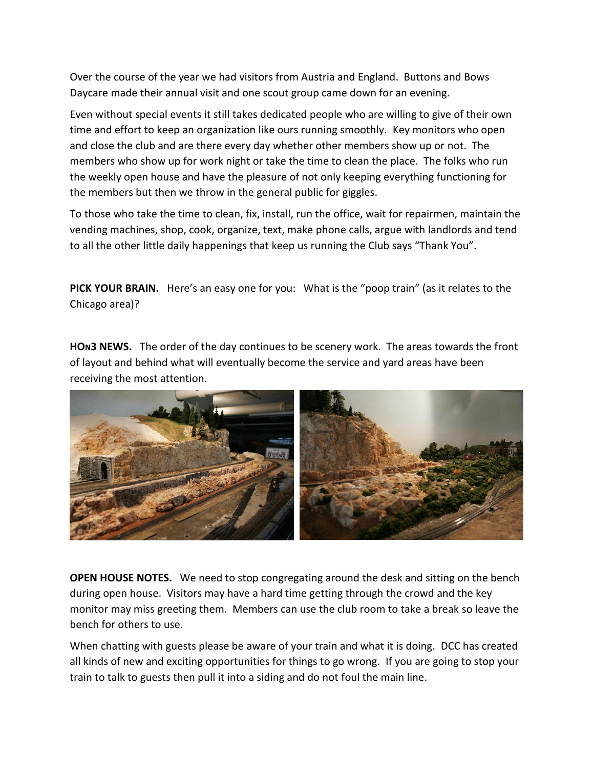Over the course of the year we had visitors from Austria and England. Buttons and Bows Daycare made their annual visit and one scout group came down for an evening.

Even without special events it still takes dedicated people who are willing to give of their own time and effort to keep an organization like ours running smoothly. Key monitors who open and close the club and are there every day whether other members show up or not. The members who show up for work night or take the time to clean the place. The folks who run the weekly open house and have the pleasure of not only keeping everything functioning for the members but then we throw in the general public for giggles.

To those who take the time to clean, fix, install, run the office, wait for repairmen, maintain the vending machines, shop, cook, organize, text, make phone calls, argue with landlords and tend to all the other little daily happenings that keep us running the Club says "Thank You".

**PICK YOUR BRAIN.** Here's an easy one for you: What is the "poop train" (as it relates to the Chicago area)?

**HON3 NEWS.** The order of the day continues to be scenery work. The areas towards the front of layout and behind what will eventually become the service and yard areas have been receiving the most attention.



**OPEN HOUSE NOTES.** We need to stop congregating around the desk and sitting on the bench during open house. Visitors may have a hard time getting through the crowd and the key monitor may miss greeting them. Members can use the club room to take a break so leave the bench for others to use.

When chatting with guests please be aware of your train and what it is doing. DCC has created all kinds of new and exciting opportunities for things to go wrong. If you are going to stop your train to talk to guests then pull it into a siding and do not foul the main line.